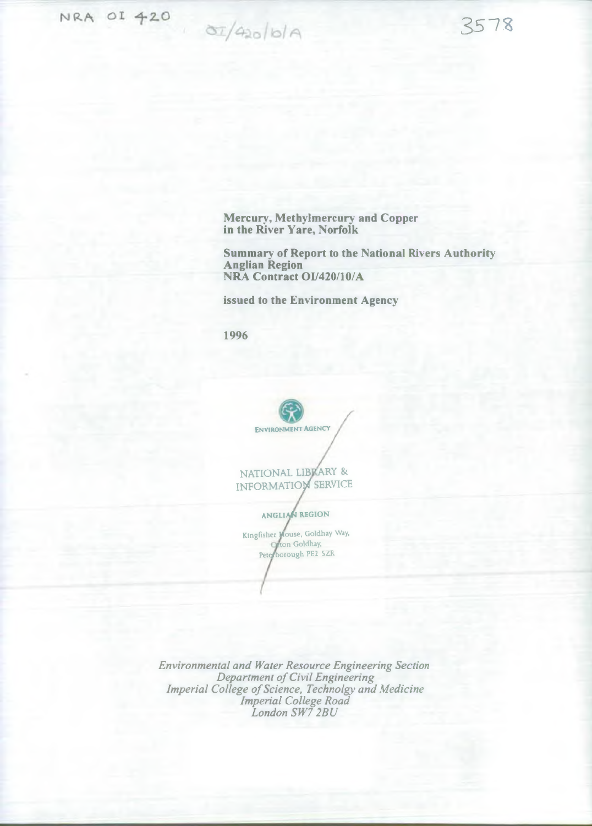NRA OI 420  $\frac{\partial I}{\partial 2}$  /420/6/A

Mercury, Methylmercury and Copper in the River Yare, Norfolk

Summary of Report to the National Rivers Authority Anglian Region NRA Contract 01/420/10/A

35-73

issued to the Environment Agency

1996

ENVIRONMENT AGENCY

NATIONAL LIBKARY & INFORMATION SERVICE

ANGLIAN REGION

Kingfisher Mouse, Goldhay Way, *non* Goldhay, Peterborough PE2 5ZR

*Environmental and Water Resource Engineering Section Department of Civil Engineering Imperial College of Science, Technolgy and Medicine Imperial College Road London SW7 2BU*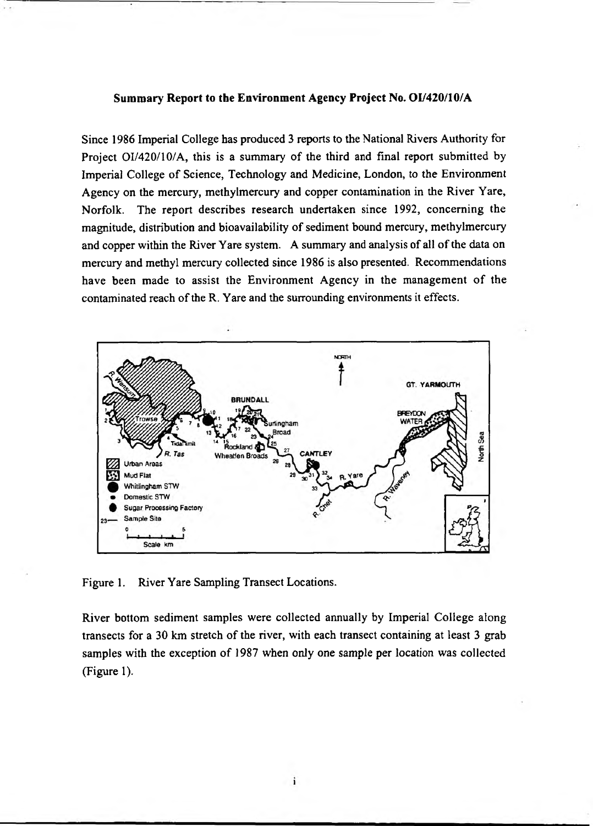## Summary Report to the Environment Agency Project No. 01/420/10/A

Since 1986 Imperial College has produced 3 reports to the National Rivers Authority for Project 01/420/10/A, this is a summary of the third and final report submitted by Imperial College of Science, Technology and Medicine, London, to the Environment Agency on the mercury, methylmercury and copper contamination in the River Yare, Norfolk. The report describes research undertaken since 1992, concerning the magnitude, distribution and bioavailability of sediment bound mercury, methylmercury and copper within the River Yare system. A summary and analysis of all of the data on mercury and methyl mercury collected since 1986 is also presented. Recommendations have been made to assist the Environment Agency in the management of the contaminated reach of the R. Yare and the surrounding environments it effects.



Figure 1. River Yare Sampling Transect Locations.

River bottom sediment samples were collected annually by Imperial College along transects for a 30 km stretch of the river, with each transect containing at least 3 grab samples with the exception of 1987 when only one sample per location was collected (Figure 1).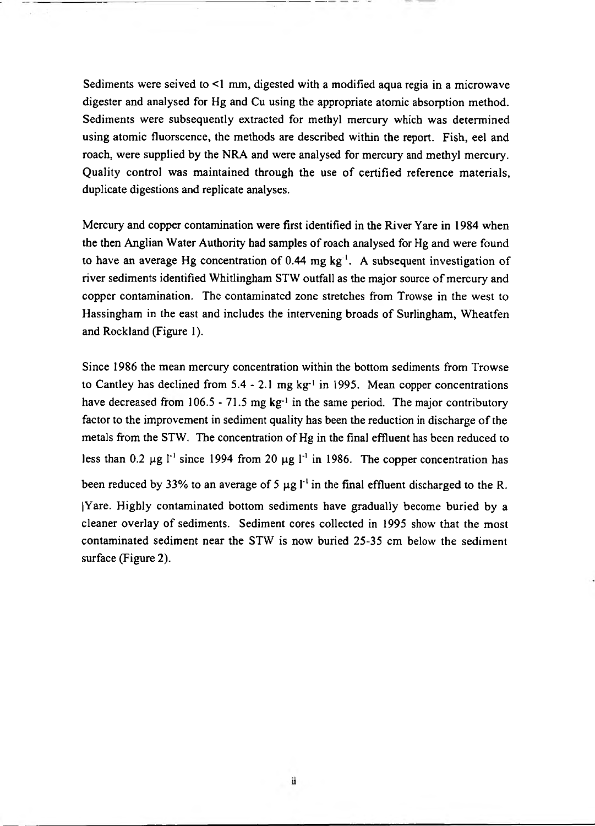Sediments were seived to <1 mm, digested with a modified aqua regia in a microwave digester and analysed for Hg and Cu using the appropriate atomic absorption method. Sediments were subsequently extracted for methyl mercury which was determined using atomic fluorscence, the methods are described within the report. Fish, eel and roach, were supplied by the NRA and were analysed for mercury and methyl mercury. Quality control was maintained through the use of certified reference materials, duplicate digestions and replicate analyses.

Mercury and copper contamination were first identified in the River Yare in 1984 when the then Anglian Water Authority had samples of roach analysed for Hg and were found to have an average Hg concentration of  $0.44 \text{ mg kg}^{-1}$ . A subsequent investigation of river sediments identified Whitlingham STW outfall as the major source of mercury and copper contamination. The contaminated zone stretches from Trowse in the west to Hassingham in the east and includes the intervening broads of Surlingham, Wheatfen and Rockland (Figure 1).

Since 1986 the mean mercury concentration within the bottom sediments from Trowse to Cantley has declined from  $5.4 - 2.1$  mg kg<sup>-1</sup> in 1995. Mean copper concentrations have decreased from 106.5 - 71.5 mg kg<sup>-1</sup> in the same period. The major contributory factor to the improvement in sediment quality has been the reduction in discharge of the metals from the STW. The concentration of Hg in the final effluent has been reduced to less than 0.2  $\mu$ g *I*<sup>-1</sup> since 1994 from 20  $\mu$ g *I*<sup>-1</sup> in 1986. The copper concentration has been reduced by 33% to an average of 5  $\mu$ g l<sup>-1</sup> in the final effluent discharged to the R. |Yare. Highly contaminated bottom sediments have gradually become buried by a cleaner overlay of sediments. Sediment cores collected in 1995 show that the most contaminated sediment near the STW is now buried 25-35 cm below the sediment surface (Figure 2).

ü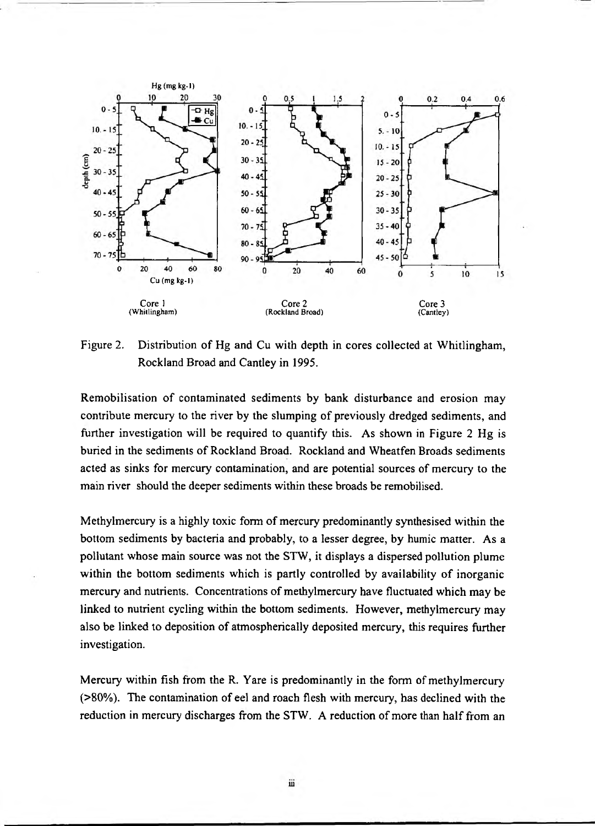

Figure 2. Distribution of Hg and Cu with depth in cores collected at Whitlingham, Rockland Broad and Cantley in 1995.

Remobilisation of contaminated sediments by bank disturbance and erosion may contribute mercury to the river by the slumping of previously dredged sediments, and further investigation will be required to quantify this. As shown in Figure 2 Hg is buried in the sediments of Rockland Broad. Rockland and Wheatfen Broads sediments acted as sinks for mercury contamination, and are potential sources of mercury to the main river should the deeper sediments within these broads be remobilised.

Methylmercury is a highly toxic form of mercury predominantly synthesised within the bottom sediments by bacteria and probably, to a lesser degree, by humic matter. As a pollutant whose main source was not the STW, it displays a dispersed pollution plume within the bottom sediments which is partly controlled by availability of inorganic mercury and nutrients. Concentrations of methylmercury have fluctuated which may be linked to nutrient cycling within the bottom sediments. However, methylmercury may also be linked to deposition of atmospherically deposited mercury, this requires further investigation.

Mercury within fish from the R. Yare is predominantly in the form of methylmercury (>80%). The contamination of eel and roach flesh with mercury, has declined with the reduction in mercury discharges from the STW. A reduction of more than half from an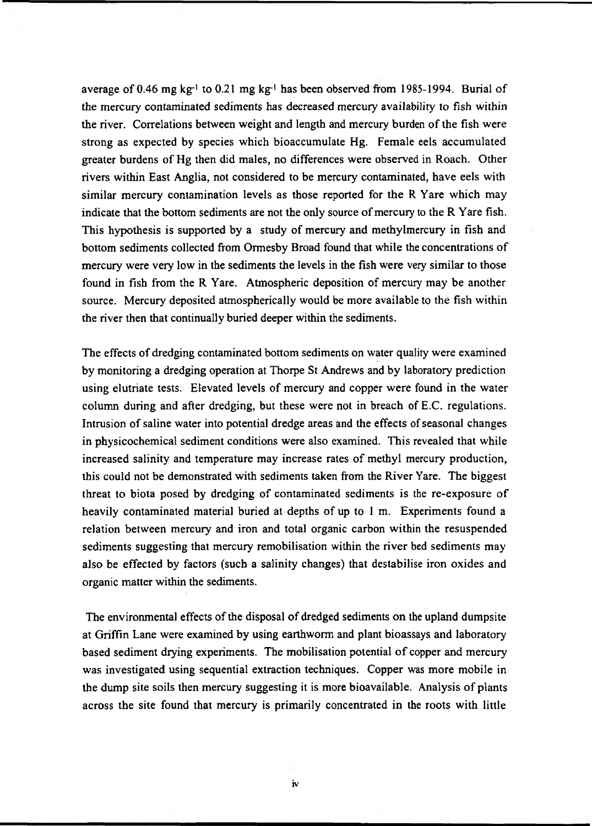average of 0.46 mg kg<sup>-1</sup> to 0.21 mg kg<sup>-1</sup> has been observed from 1985-1994. Burial of the mercury contaminated sediments has decreased mercury availability to fish within the river. Correlations between weight and length and mercury burden of the fish were strong as expected by species which bioaccumulate Hg. Female eels accumulated greater burdens of Hg then did males, no differences were observed in Roach. Other rivers within East Anglia, not considered to be mercury contaminated, have eels with similar mercury contamination levels as those reported for the R Yare which may indicate that the bottom sediments are not the only source of mercury to the R Yare fish. This hypothesis is supported by a study of mercury and methylmercury in fish and bottom sediments collected from Ormesby Broad found that while the concentrations of mercury were very low in the sediments the levels in the fish were very similar to those found in fish from the R Yare. Atmospheric deposition of mercury may be another source. Mercury deposited atmospherically would be more available to the fish within the river then that continually buried deeper within the sediments.

The effects of dredging contaminated bottom sediments on water quality were examined by monitoring a dredging operation at Thorpe St Andrews and by laboratory prediction using elutriate tests. Elevated levels of mercury and copper were found in the water column during and after dredging, but these were not in breach of E.C. regulations. Intrusion of saline water into potential dredge areas and the effects of seasonal changes in physicochemical sediment conditions were also examined. This revealed that while increased salinity and temperature may increase rates of methyl mercury production, this could not be demonstrated with sediments taken from the River Yare. The biggest threat to biota posed by dredging of contaminated sediments is the re-exposure of heavily contaminated material buried at depths of up to 1 m. Experiments found a relation between mercury and iron and total organic carbon within the resuspended sediments suggesting that mercury remobilisation within the river bed sediments may also be effected by factors (such a salinity changes) that destabilise iron oxides and organic matter within the sediments.

The environmental effects of the disposal of dredged sediments on the upland dumpsite at Griffin Lane were examined by using earthworm and plant bioassays and laboratory based sediment drying experiments. The mobilisation potential of copper and mercury was investigated using sequential extraction techniques. Copper was more mobile in the dump site soils then mercury suggesting it is more bioavailable. Analysis of plants across the site found that mercury is primarily concentrated in the roots with little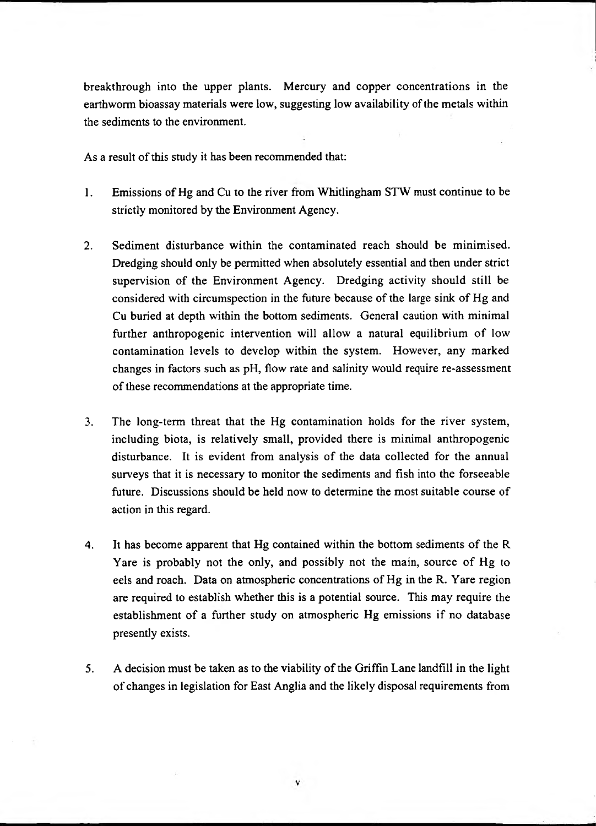breakthrough into the upper plants. Mercury and copper concentrations in the earthworm bioassay materials were low, suggesting low availability of the metals within the sediments to the environment.

As a result of this study it has been recommended that:

- 1. Emissions of Hg and Cu to the river from Whitlingham STW must continue to be strictly monitored by the Environment Agency.
- 2. Sediment disturbance within the contaminated reach should be minimised. Dredging should only be permitted when absolutely essential and then under strict supervision of the Environment Agency. Dredging activity should still be considered with circumspection in the future because of the large sink of Hg and Cu buried at depth within the bottom sediments. General caution with minimal further anthropogenic intervention will allow a natural equilibrium of low contamination levels to develop within the system. However, any marked changes in factors such as pH, flow rate and salinity would require re-assessment of these recommendations at the appropriate time.
- 3. The long-term threat that the Hg contamination holds for the river system, including biota, is relatively small, provided there is minimal anthropogenic disturbance. It is evident from analysis of the data collected for the annual surveys that it is necessary to monitor the sediments and fish into the forseeable future. Discussions should be held now to determine the most suitable course of action in this regard.
- 4. It has become apparent that Hg contained within the bottom sediments of the R Yare is probably not the only, and possibly not the main, source of Hg to eels and roach. Data on atmospheric concentrations of Hg in the R. Yare region are required to establish whether this is a potential source. This may require the establishment of a further study on atmospheric Hg emissions if no database presently exists.
- 5. A decision must be taken as to the viability of the Griffin Lane landfill in the light of changes in legislation for East Anglia and the likely disposal requirements from

v